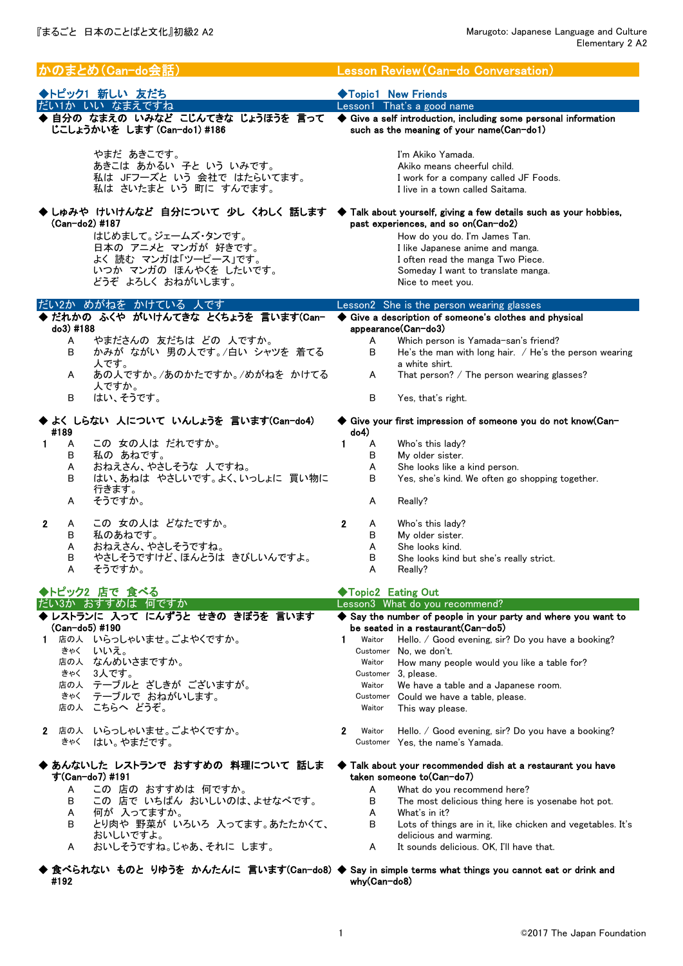| かのまとめ(Can-do会話)                                                  | Lesson Review (Can-do Conversation)                                                                                                          |
|------------------------------------------------------------------|----------------------------------------------------------------------------------------------------------------------------------------------|
| ◆トピック1 新しい 友だち                                                   | ◆Topic1 New Friends                                                                                                                          |
| だい1か いい なまえですね                                                   | Lesson1 That's a good name                                                                                                                   |
| ◆ 自分の なまえの いみなど こじんてきな じょうほうを 言って<br>じこしょうかいを します (Can-do1) #186 | ♦ Give a self introduction, including some personal information<br>such as the meaning of your name(Can-do1)                                 |
| やまだ あきこです。                                                       | I'm Akiko Yamada.                                                                                                                            |
| あきこは あかるい 子と いう いみです。                                            | Akiko means cheerful child.                                                                                                                  |
| 私は JFフーズと いう 会社で はたらいてます。<br>私は さいたまと いう 町に すんでます。               | I work for a company called JF Foods.<br>I live in a town called Saitama.                                                                    |
| $(Can-do2)$ #187                                                 | ▶ しゅみや けいけんなど 自分について 少し くわしく 話します  ◆ Talk about yourself, giving a few details such as your hobbies,<br>past experiences, and so on(Can-do2) |
| はじめまして。ジェームズ・タンです。                                               | How do you do. I'm James Tan.                                                                                                                |
| 日本の アニメと マンガが 好きです。                                              | I like Japanese anime and manga.                                                                                                             |
| よく 読む マンガは「ツーピース」です。                                             | I often read the manga Two Piece.                                                                                                            |
| いつか マンガの ほんやくを したいです。                                            | Someday I want to translate manga.                                                                                                           |
| どうぞ よろしく おねがいします。                                                | Nice to meet you.                                                                                                                            |
| だい2か めがねを かけている 人です<br>▶ だれかの ふくや がいけんてきな とくちょうを 言います(Can-       | Lesson2 She is the person wearing glasses<br>Give a description of someone's clothes and physical                                            |
| do3) #188                                                        | appearance(Can-do3)                                                                                                                          |
| やまださんの 友だちは どの 人ですか。<br>A                                        | Which person is Yamada-san's friend?<br>A                                                                                                    |
| かみが ながい 男の人です。/白い シャツを 着てる<br>В                                  | В<br>He's the man with long hair. $/$ He's the person wearing                                                                                |
| 人です。                                                             | a white shirt.                                                                                                                               |
| あの人ですか。/あのかたですか。/めがねを かけてる<br>A<br>人ですか。                         | A<br>That person? $/$ The person wearing glasses?                                                                                            |
| はい、そうです。<br>В                                                    | B<br>Yes, that's right.                                                                                                                      |
| よく しらない 人について いんしょうを 言います(Can-do4)<br>#189                       | ◆ Give your first impression of someone you do not know(Can-<br>do4)                                                                         |
| この 女の人は だれですか。<br>1.<br>A                                        | 1<br>A<br>Who's this lady?                                                                                                                   |
| В<br>私の あねです。                                                    | в<br>My older sister.                                                                                                                        |
| おねえさん、やさしそうな 人ですね。<br>A                                          | A<br>She looks like a kind person.                                                                                                           |
| はい、あねは やさしいです。よく、いっしょに 買い物に<br>В<br>行きます。                        | B<br>Yes, she's kind. We often go shopping together.                                                                                         |
| そうですか。<br>A                                                      | Really?<br>A                                                                                                                                 |
| この 女の人は どなたですか。<br>$\mathbf{2}$<br>A                             | $\mathbf{2}$<br>Who's this lady?<br>A                                                                                                        |
| 私のあねです。<br>В                                                     | В<br>My older sister.                                                                                                                        |
| おねえさん、やさしそうですね。<br>A                                             | A<br>She looks kind.                                                                                                                         |
| やさしそうですけど、ほんとうは きびしいんですよ。<br>в<br>Α<br>そうですか。                    | в<br>She looks kind but she's really strict.<br>A<br>$RealV$ ?                                                                               |
|                                                                  |                                                                                                                                              |
| ◆トピック2 店で 食べる<br>だい3か おすすめは 何ですか                                 | ◆Topic2 Eating Out<br>Lesson3 What do you recommend?                                                                                         |
| ▶レストランに 入って にんずうと せきの きぼうを 言います                                  | Say the number of people in your party and where you want to                                                                                 |
| (Can-do5) #190                                                   | be seated in a restaurant (Can-do5)                                                                                                          |
| 店の人 いらっしゃいませ。ごよやくですか。<br>1.                                      | $\mathbf 1$<br>Waitor<br>Hello. / Good evening, sir? Do you have a booking?                                                                  |
| きゃく いいえ。                                                         | Customer No, we don't.                                                                                                                       |
| 店の人 なんめいさまですか。                                                   | How many people would you like a table for?<br>Waitor                                                                                        |
| 3人です。<br>きゃく<br>店の人 テーブルと ざしきが ございますが。                           | Customer 3, please.<br>We have a table and a Japanese room.<br>Waitor                                                                        |
| テーブルで おねがいします。<br>きゃく                                            | Customer Could we have a table, please.                                                                                                      |
| 店の人 こちらへ どうぞ。                                                    | This way please.<br>Waitor                                                                                                                   |
| 2 店の人 いらっしゃいませ。ごよやくですか。                                          | $\mathbf{2}$<br>Waitor<br>Hello. / Good evening, sir? Do you have a booking?                                                                 |
| きゃく はい。やまだです。                                                    | Customer Yes, the name's Yamada.                                                                                                             |
| あんないした レストランで おすすめの 料理について 話しま<br>す(Can-do7) #191                | Talk about your recommended dish at a restaurant you have<br>taken someone to(Can-do7)                                                       |
| この 店の おすすめは 何ですか。<br>A                                           | A<br>What do you recommend here?                                                                                                             |
| この 店で いちばん おいしいのは、よせなべです。<br>в                                   | В<br>The most delicious thing here is yosenabe hot pot.                                                                                      |
| 何が 入ってますか。<br>A                                                  | A<br>What's in it?                                                                                                                           |
| とり肉や 野菜が いろいろ 入ってます。あたたかくて、<br>В<br>おいしいですよ。                     | B<br>Lots of things are in it, like chicken and vegetables. It's                                                                             |
| おいしそうですね。じゃあ、それに します。<br>A                                       | delicious and warming.<br>A<br>It sounds delicious. OK, I'll have that.                                                                      |
| #192                                                             | 食べられない ものと りゆうを かんたんに 言います(Can-do8) ◆ Say in simple terms what things you cannot eat or drink and<br>why(Can-do8)                            |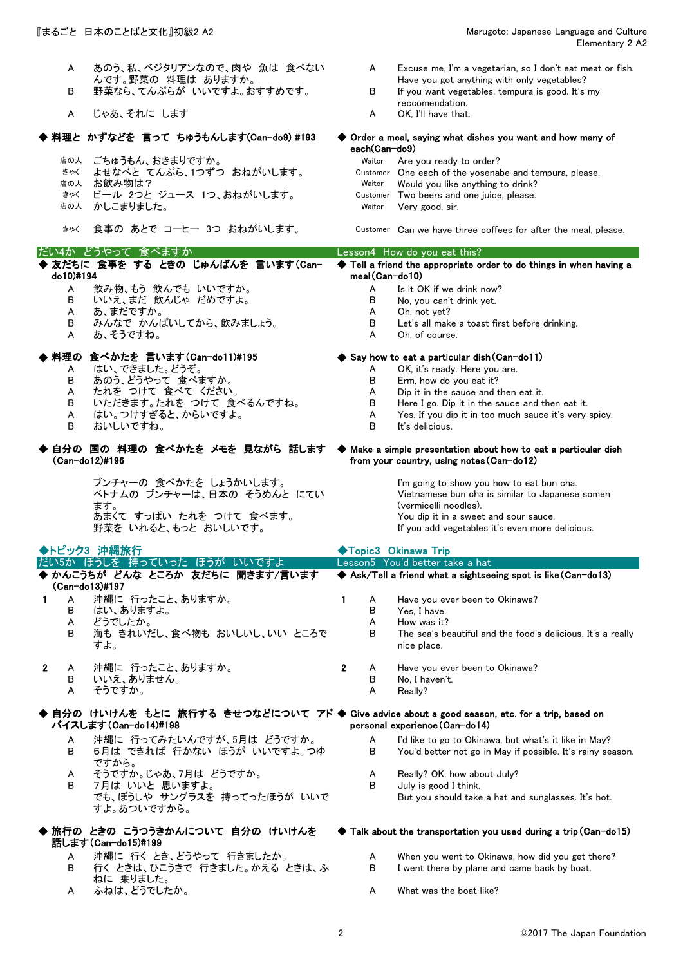- B 野菜なら、てんぷらが いいですよ。おすすめです。 B If you want vegetables, tempura is good. It's my
- A じゃあ、それに します A OK A OK A OK

## ◆ 料理と かずなどを 言って ちゅうもんします(Can-do9) #193

- 
- 
- 
- きゃく ビール 2つと ジュース 1つ、おねがいします。 Customer Two beers and one juice, please.<br>店の人 かしこまりました。 Waitor Very good, sir.
- 
- 

### だい4か どうやって 食べますか Lesson4 How do you eat this?

### ◆ 友だちに 食事を する ときの じゅんばんを 言います(Can- ◆ do10)#194

- A 飲み物、もう 飲んでも いいですか。 A Is it OK if we drink now?
- B いいえ、まだ 飲んじゃ だめですよ。 B No, you can't drink yet.
- 
- B みんなで かんぱいしてから、飲みましょう。 B Let's all make a toast first before drinking.
- A あ、そうですね。

# ◆ 料理の 食べかたを 言います(Can-do11)#195 ◆ Say how to eat a particular dish(Can-do11)

- 
- A はい、できました。どうぞ。 A OK, it's ready. Here you are.<br>B あのう、どうやって 食べますか。 B Erm, how do you eat it? B あのう、どうやって食べますか。 B Erm, how do you eat it?
- A たれを つけて 食べて ください。 A Dip it in the sauce and then eat it.
- B いただきます。たれを つけて 食べるんですね。 B Here I go. Dip it in the sauce and then eat it.
- 
- 
- ◆ 自分の 国の 料理の 食べかたを メモを 見ながら 話します ◆ (Can-do12)#196

ブンチャーの 食べかたを しょうかいします。 I'm going to show you how to eat bun cha. ベトナムの ブンチャーは、日本の そうめんと にてい ます。 あまくて すっぱい たれを つけて 食べます。 野菜を いれると、もっと おいしいです。 If you add vegetables it's even more delicious.

- A Excuse me, I'm a vegetarian, so I don't eat meat or fish. Have you got anything with only vegetables?
- 
- reccomendation.<br>OK. I'll have that.

 $\blacklozenge$  Order a meal, saying what dishes you want and how many of each(Can-do9)

- <sub>店の人</sub> ごちゅうもん、おきまりですか。<br>\*\*\* よせなべと てんぷら、1つずつ おねがいします。 Customer One each of the yosenal きゃく よせなべと てんぷら、1つずつ おねがいします。 Customer One each of the yosenabe and tempura, please. Would you like anything to drink?
	- かしこまりました。 ファイン Naitor Very good, sir.

きゃく 食事の あとで コーヒー 3つ おねがいします。 Customer Can we have three coffees for after the meal, please.

Tell a friend the appropriate order to do things in when having a meal(Can-do10)

- 
- 
- 
- A あ、まだですか。<br>B みんなで かんぱいしてから、飲みましょう。 B Let's all make a toast first before drinking.
	-

- 
- 
- 
- 
- A はい。つけすぎると、からいですよ。 A Yes. If you dip it in too much sauce it's very spicy.<br>B this delicious
	- B おいしいですね。 B It's delicious.

### ◆ Make a simple presentation about how to eat a particular dish from your country, using notes(Can-do12)

B I went there by plane and came back by boat.

Vietnamese bun cha is similar to Japanese somen (vermicelli noodles).

|                                                                                                                                                           | ◆トピック3 沖縄旅行                                                                          |              |                  | ◆Topic3 Okinawa Trip                                                                                                                        |
|-----------------------------------------------------------------------------------------------------------------------------------------------------------|--------------------------------------------------------------------------------------|--------------|------------------|---------------------------------------------------------------------------------------------------------------------------------------------|
|                                                                                                                                                           | だい5か ぼうしを 持っていった ほうが いいですよ                                                           |              |                  | Lesson5 You'd better take a hat                                                                                                             |
|                                                                                                                                                           | ◆ かんこうちが どんな ところか 友だちに 聞きます/言います<br>$(Can-do13)$ #197                                |              |                  | $\blacklozenge$ Ask/Tell a friend what a sightseeing spot is like (Can-do13)                                                                |
| A<br>В<br>A<br>B                                                                                                                                          | 沖縄に 行ったこと、ありますか。<br>はい、ありますよ。<br>どうでしたか。<br>海も きれいだし、食べ物も おいしいし、いい ところで<br>すよ。       |              | A<br>B<br>A<br>в | Have you ever been to Okinawa?<br>Yes, I have.<br>How was it?<br>The sea's beautiful and the food's delicious. It's a really<br>nice place. |
| $\mathbf{2}$<br>A<br>B<br>A                                                                                                                               | 沖縄に 行ったこと、ありますか。<br>いいえ、ありません。<br>そうですか。                                             | $\mathbf{2}$ | A<br>B<br>A      | Have you ever been to Okinawa?<br>No. I haven't.<br>$RealV$ ?                                                                               |
| ◆ 自分の けいけんを もとに 旅行する きせつなどについて アド ◆ Give advice about a good season, etc. for a trip, based on<br>パイスします (Can-do14)#198<br>personal experience (Can-do14) |                                                                                      |              |                  |                                                                                                                                             |
| A<br>B                                                                                                                                                    | 沖縄に 行ってみたいんですが、5月は どうですか。<br>5月は できれば 行かない ほうが いいですよ。つゆ<br>ですから。                     |              | A<br>B.          | I'd like to go to Okinawa, but what's it like in May?<br>You'd better not go in May if possible. It's rainy season.                         |
| A<br>B.                                                                                                                                                   | そうですか。じゃあ、フ月は どうですか。<br>7月は いいと 思いますよ。<br>でも、ぼうしや サングラスを 持ってったほうが いいで<br>すよ。あついですから。 |              | A<br>B.          | Really? OK, how about July?<br>July is good I think.<br>But you should take a hat and sunglasses. It's hot.                                 |
|                                                                                                                                                           | ◆ 旅行の ときの こうつうきかんについて 自分の けいけんを<br>話します (Can-do15)#199                               |              |                  | $\blacklozenge$ Talk about the transportation you used during a trip (Can-do15)                                                             |

- A 沖縄に 行く とき、どうやって 行きましたか。 A When you went to Okinawa, how did you get there? B 行く ときは、ひこうきで 行きました。かえる ときは、ふ
- ねに 乗りました。 A ふねは、どうでしたか。 A What was the boat like?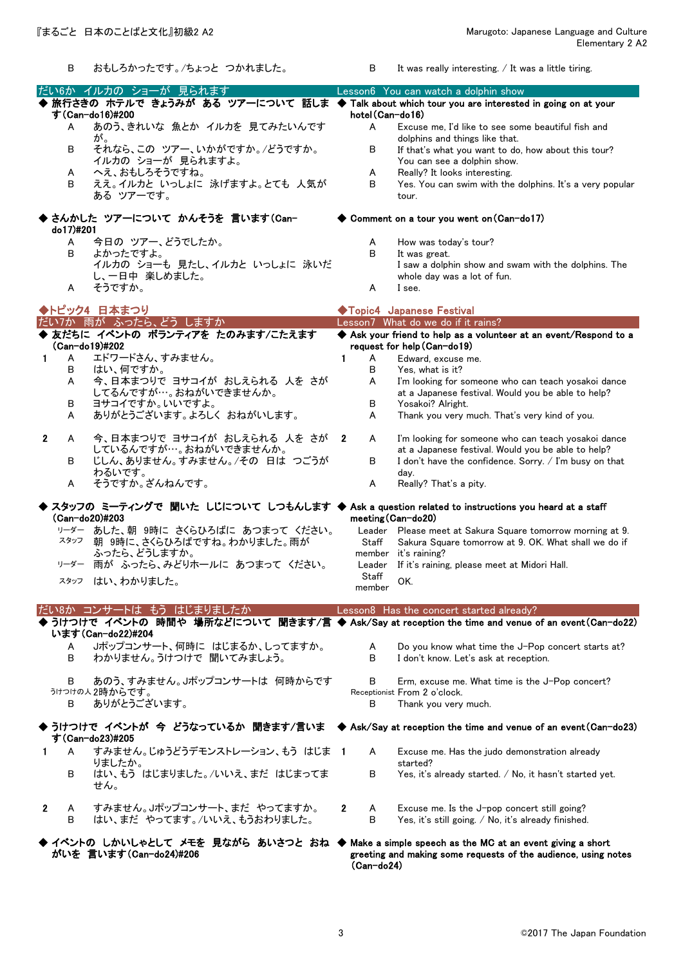B おもしろかったです。/ちょっと つかれました。 B It was really interesting. / It was a little tiring. ◆ 旅行さきの ホテルで きょうみが ある ツアーについて 話しま ◆ Talk about which tour you are interested in going on at your A あのう、きれいな 魚とか イルカを 見てみたいんです が。 A Excuse me, I'd like to see some beautiful fish and dolphins and things like that. B それなら、この ツアー、いかがですか。/どうですか。 B If that's what you want to do, how about this tour? イルカの ショーが 見られますよ。 イルカの You can see a dolphin show. A へえ、おもしろそうですね。<br>B ええ。イルカと いっしょに 泳げますよ。とても、人気が B Yes You can swim with the ええ。イルカと いっしょに 泳げますよ。とても 人気が ある ツアーです。 Yes. You can swim with the dolphins. It's a very popular tour. ◆ ◆ さんかした ツアーについて かんそうを 言います(Can-A 今日の ツアー、どうでしたか。 <br>
A How was today's tour? B よかったですよ。 B It was great. イルカの ショーも 見たし、イルカと いっしょに 泳いだ し、一日中 楽しめました。 I saw a dolphin show and swam with the dolphins. The whole day was a lot of fun. A そうですか。 インター・コンピューター A I see. ◆ 友だちに イベントの ボランティアを たのみます/こたえます ◆ 1 A エドワードさん、すみません。 1 A Edward, excuse me.<br>B はい、何ですか。 3 B Yes, what is it? B はい、何ですか。 B Yes, what is it? 今、日本まつりで ヨサコイが おしえられる 人を さが してるんですが…。おねがいできませんか。 I'm looking for someone who can teach yosakoi dance at a Japanese festival. Would you be able to help? B ヨサコイですか。いいですよ。 B Yosakoi? Alright. A ありがとうございます。よろしく おねがいします。 A Thank you very much. That's very kind of you. 2 A 今、日本まつりで ヨサコイが おしえられる 人を さが しているんですが…。おねがいできませんか。 2 A I'm looking for someone who can teach yosakoi dance at a Japanese festival. Would you be able to help? B じしん、ありません。すみません。/その 日は つごうが わるいです。 B I don't have the confidence. Sorry. / I'm busy on that day.<br>Really? That's a pity. A そうですか。ざんねんです。 A Really A ◆ スタッフの ミ―ティングで 聞いた しじについて しつもんします ◆ Ask a question related to instructions you heard at a staff <sup>リーダー</sup> あした、朝 9時に さくらひろばに あつまって ください。 Leader Please meet at Sakura Square tomorrow morning at 9.<br><sup>スタッフ</sup> 朝 9時に、さくらひろばですね。わかりました。雨が Staff Sakura Square tomorrow at 9.0K. What shall we do if スタッフ 朝 9時に、さくらひろばですね。わかりました。雨が ふったら、どうしますか。 **Staff** member Sakura Square tomorrow at 9. OK. What shall we do if it's raining? リーダー 雨が ふったら、みどりホールに あつまって ください。 Leader If it's raining, please meet at Midori Hall. スタッフ はい、わかりました。 Staff  $m_{\text{emher}}^{\text{total}}$  OK. ◆ うけつけで イベントの 時間や 場所などについて 聞きます/言 ◆ Ask/Say at reception the time and venue of an event(Can-do22) A Jポップコンサート、何時に はじまるか、しってますか。 A Do you know what time the J-Pop concert starts at?<br>B わかりません。うけつけで 聞いてみましょう。 B I don't know. Let's ask at reception. わかりません。うけつけで 聞いてみましょう。 B あのう、すみません。Jポップコンサートは 何時からです B Erm, excuse me. What time is the J-Pop concert? うけつけの人 2時からです。 Receptionist From 2 o'clock. B ありがとうございます。 <br>
B Thank you very much. ◆うけつけで イベントが 今 どうなっているか 聞きます/言いま ◆Ask/Say at reception the time and venue of an event(Can-do23) 1 A すみません。じゅうどうデモンストレーション、もう はじま りましたか。 A Excuse me. Has the judo demonstration already started? B はい、もう はじまりました。/いいえ、まだ はじまってま せん。 B Yes, it's already started. / No, it hasn't started yet. 2 A すみません。Jポップコンサート、まだ やってますか。 2 A Excuse me. Is the J-pop concert still going? B はい、まだ やってます。/いいえ、もうおわりました。 B Yes, it's still going. / No, it's already finished. ◆ イベントの しかいしゃとして メモを 見ながら あいさつと おね ◆ Make a simple speech as the MC at an event giving a short す(Can-do23)#205 がいを 言います(Can-do24)#206 greeting and making some requests of the audience, using notes (Can-do20)#203 meeting(Can-do20) だい8か コンサートは もう はじまりましたか Lesson8 Has the concert started already? います(Can-do22)#204 ◆トピック4 日本まつり ◆Topic4 Japanese Festival だい7か 雨が ふったら、どう しますか (Can-do19)#202 Ask your friend to help as a volunteer at an event/Respond to a request for help(Can-do19) だい6か イルカの ショーが 見られます Lesson6 You can watch a dolphin show す(Can-do16)#200 hotel(Can-do16) do17)#201 ◆ Comment on a tour you went on (Can-do17)

(Can-do24)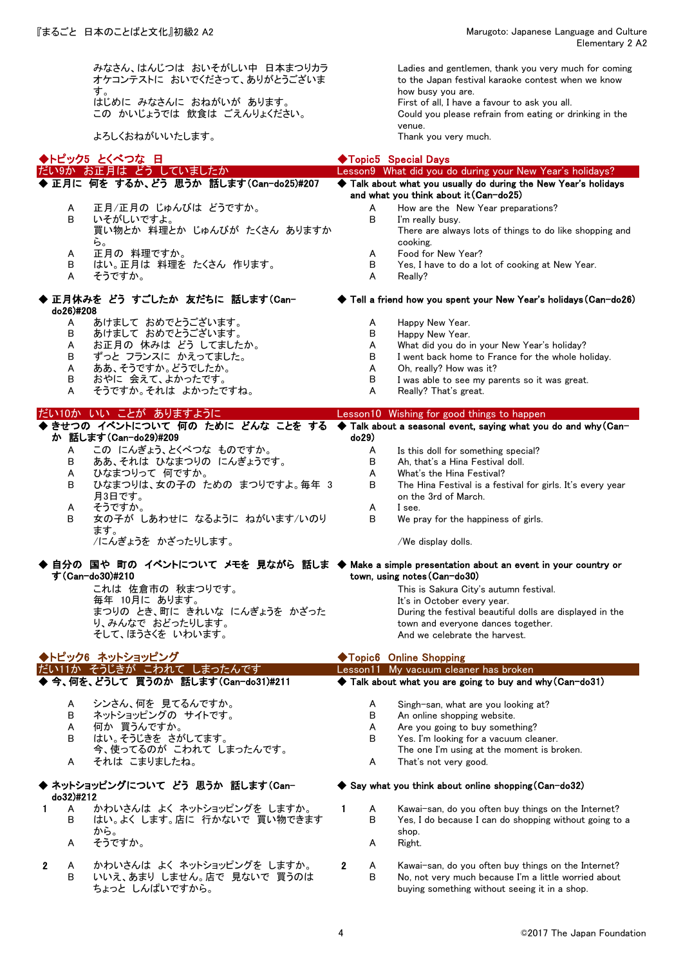みなさん、はんじつは おいそがしい中 日本まつりカラ オケコンテストに おいでくださって、ありがとうございま す。 はじめに みなさんに おねがいが あります。 First of all, I have a favour to ask you all.

よろしくおねがいいたします。

Ladies and gentlemen, thank you very much for coming to the Japan festival karaoke contest when we know how busy you are. Could you please refrain from eating or drinking in the venue.<br>Thank you very much.

|                   | ◆トピック5 とくべつな 日                                                                                                     |                   | ◆Topic5 Special Days                                                                                          |
|-------------------|--------------------------------------------------------------------------------------------------------------------|-------------------|---------------------------------------------------------------------------------------------------------------|
|                   | だい9か お正月は どう していましたか                                                                                               |                   | Lesson9 What did you do during your New Year's holidays?                                                      |
|                   | ◆ 正月に 何を するか、どう 思うか 話します(Can-do25)#207                                                                             |                   | Talk about what you usually do during the New Year's holidays<br>and what you think about it (Can-do25)       |
| A                 | 正月/正月の じゅんびは どうですか。                                                                                                | A                 | How are the New Year preparations?                                                                            |
| В                 | いそがしいですよ。                                                                                                          | В                 | I'm really busy.                                                                                              |
|                   | 買い物とか 料理とか じゅんびが たくさん ありますか                                                                                        |                   | There are always lots of things to do like shopping and                                                       |
| A                 | ら。<br>正月の 料理ですか。                                                                                                   | A                 | cooking.<br>Food for New Year?                                                                                |
| В                 | はい。正月は 料理を たくさん 作ります。                                                                                              | в                 | Yes, I have to do a lot of cooking at New Year.                                                               |
| A                 | そうですか。                                                                                                             | Α                 | Really?                                                                                                       |
| do26)#208         | 正月休みを どう すごしたか 友だちに 話します(Can-                                                                                      |                   | ◆ Tell a friend how you spent your New Year's holidays (Can-do26)                                             |
| A                 | あけまして おめでとうございます。                                                                                                  | A                 | Happy New Year.                                                                                               |
| В                 | あけまして おめでとうございます。                                                                                                  | в                 | Happy New Year.                                                                                               |
| A                 | お正月の 休みは どう してましたか。                                                                                                | A                 | What did you do in your New Year's holiday?                                                                   |
| в                 | ずっと フランスに かえってました。                                                                                                 | В                 | I went back home to France for the whole holiday.                                                             |
| A                 | ああ、そうですか。どうでしたか。                                                                                                   | A                 | Oh, really? How was it?                                                                                       |
| в<br>A            | おやに 会えて、よかったです。<br>そうですか。それは よかったですね。                                                                              | в<br>A            | I was able to see my parents so it was great.                                                                 |
|                   |                                                                                                                    |                   | Really? That's great.                                                                                         |
|                   | だい10か いい ことが ありますように<br>◆ きせつの イベントについて 何の ために どんな ことを する                                                          |                   | Lesson10 Wishing for good things to happen<br>◆ Talk about a seasonal event, saying what you do and why (Can- |
|                   | か 話します(Can-do29)#209                                                                                               | do29)             |                                                                                                               |
| A                 | この にんぎょう、とくべつな ものですか。                                                                                              | A                 | Is this doll for something special?                                                                           |
| в                 | ああ、それは ひなまつりの にんぎょうです。                                                                                             | в                 | Ah, that's a Hina Festival doll.                                                                              |
| A                 | ひなまつりって 何ですか。                                                                                                      | A                 | What's the Hina Festival?                                                                                     |
| в                 | ひなまつりは、女の子の ための まつりですよ。毎年 3                                                                                        | В                 | The Hina Festival is a festival for girls. It's every year                                                    |
| A                 | 月3日です。<br>そうですか。                                                                                                   | A                 | on the 3rd of March.<br>I see.                                                                                |
| В                 | 女の子が しあわせに なるように ねがいます/いのり                                                                                         | В                 | We pray for the happiness of girls.                                                                           |
|                   | ます。                                                                                                                |                   |                                                                                                               |
|                   | /にんぎょうを かざったりします。                                                                                                  |                   | /We display dolls.                                                                                            |
|                   | 自分の 国や 町の イベントについて メモを 見ながら 話しま ◆ Make a simple presentation about an event in your country or<br>す (Can-do30)#210 |                   | town, using notes (Can-do30)                                                                                  |
|                   | これは 佐倉市の 秋まつりです。                                                                                                   |                   | This is Sakura City's autumn festival.                                                                        |
|                   | 毎年 10月に あります。                                                                                                      |                   | It's in October every year.                                                                                   |
|                   | まつりの とき、町に きれいな にんぎょうを かざった                                                                                        |                   | During the festival beautiful dolls are displayed in the                                                      |
|                   | り、みんなで おどったりします。                                                                                                   |                   | town and everyone dances together.                                                                            |
|                   | そして、ほうさくを いわいます。                                                                                                   |                   | And we celebrate the harvest.                                                                                 |
|                   | ▶トピック6 ネットショッピング                                                                                                   |                   | ◆Topic6 Online Shopping                                                                                       |
|                   | <u>だいけか そうじきが こわれて しまったんです</u>                                                                                     |                   | Lesson11 My vacuum cleaner has broken                                                                         |
|                   | ◆ 今、何を、どうして 買うのか 話します(Can-do31)#211                                                                                |                   | $\blacklozenge$ Talk about what you are going to buy and why (Can-do31)                                       |
| A                 | シンさん、何を 見てるんですか。                                                                                                   | A                 | Singh-san, what are you looking at?                                                                           |
| в                 | ネットショッピングの サイトです。                                                                                                  | в                 | An online shopping website.                                                                                   |
| A                 | 何か 買うんですか。                                                                                                         | A                 | Are you going to buy something?                                                                               |
| в                 | はい。そうじきを さがしてます。                                                                                                   | В                 | Yes. I'm looking for a vacuum cleaner.                                                                        |
|                   | 今、使ってるのが こわれて しまったんです。                                                                                             |                   | The one I'm using at the moment is broken.                                                                    |
| A                 | それは こまりましたね。                                                                                                       | A                 | That's not very good.                                                                                         |
| do32)#212         | ◆ ネットショッピングについて どう 思うか 話します(Can-                                                                                   |                   | $\blacktriangleright$ Say what you think about online shopping (Can-do32)                                     |
| A<br>1            | かわいさんは よく ネットショッピングを しますか。                                                                                         | 1<br>A            | Kawai-san, do you often buy things on the Internet?                                                           |
| в                 | はい。よく します。店に 行かないで 買い物できます                                                                                         | В                 | Yes, I do because I can do shopping without going to a                                                        |
|                   | から。                                                                                                                |                   | shop.                                                                                                         |
| A                 | そうですか。                                                                                                             | A                 | Right.                                                                                                        |
| $\mathbf{2}$<br>A | かわいさんは よく ネットショッピングを しますか。                                                                                         | $\mathbf{2}$<br>A | Kawai-san, do you often buy things on the Internet?                                                           |
| В                 | いいえ、あまり しません。店で 見ないで 買うのは<br>ちょっと しんぱいですから。                                                                        | В                 | No, not very much because I'm a little worried about<br>buying something without seeing it in a shop.         |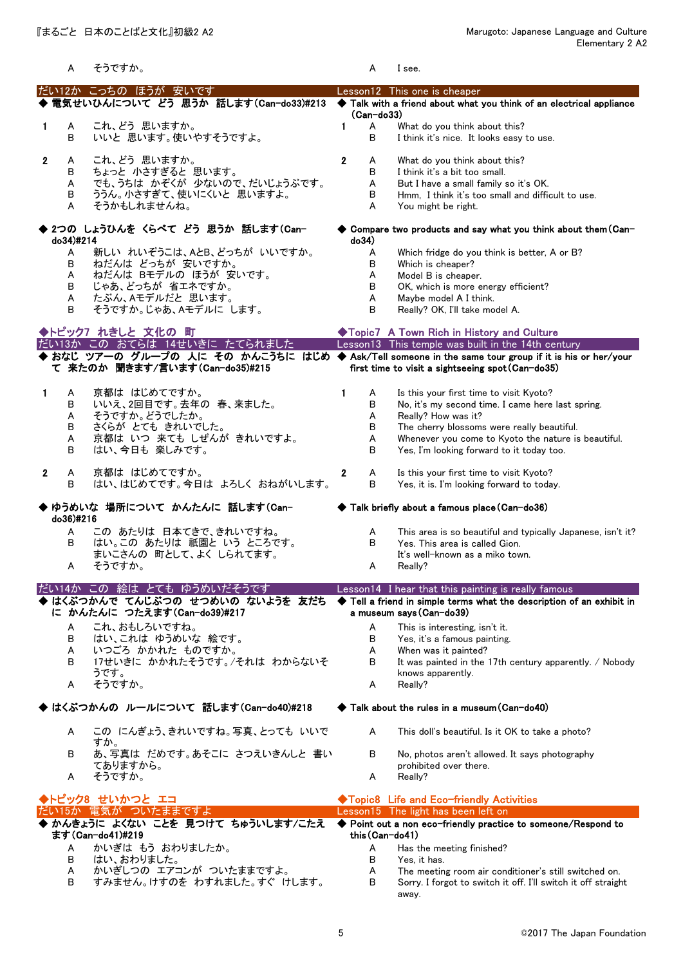|   | A                          | そうですか。                                                                                                                                 | A                               | I see.                                                                                                                                                                                                                                                                |
|---|----------------------------|----------------------------------------------------------------------------------------------------------------------------------------|---------------------------------|-----------------------------------------------------------------------------------------------------------------------------------------------------------------------------------------------------------------------------------------------------------------------|
|   |                            | だい12か こっちの ほうが 安いです<br>電気せいひんについて どう 思うか 話します (Can-do33)#213                                                                           |                                 | Lesson12 This one is cheaper<br>Talk with a friend about what you think of an electrical appliance                                                                                                                                                                    |
| 1 | Α<br>В                     | これ、どう 思いますか。<br>いいと 思います。使いやすそうですよ。                                                                                                    | (Can-do33)<br>1<br>A<br>в       | What do you think about this?<br>I think it's nice. It looks easy to use.                                                                                                                                                                                             |
| 2 | A<br>В<br>A<br>В<br>A      | これ、どう 思いますか。<br>ちょっと 小さすぎると 思います。<br>でも、うちは かぞくが 少ないので、だいじょうぶです。<br>ううん。小さすぎて、使いにくいと思いますよ。<br>そうかもしれませんね。                              | 2<br>A<br>в<br>Α<br>В<br>A      | What do you think about this?<br>I think it's a bit too small.<br>But I have a small family so it's OK.<br>Hmm, I think it's too small and difficult to use.<br>You might be right.                                                                                   |
|   | do34)#214                  | 2つの しょうひんを くらべて どう 思うか 話します(Can-                                                                                                       | do34)                           | $\blacklozenge$ Compare two products and say what you think about them (Can-                                                                                                                                                                                          |
|   | A<br>В<br>A<br>В<br>A<br>В | 新しい れいぞうこは、AとB、どっちが いいですか。<br>ねだんは どっちが 安いですか。<br>ねだんは Bモデルの ほうが 安いです。<br>じゃあ、どっちが 省エネですか。<br>たぶん、Aモデルだと 思います。<br>そうですか。じゃあ、Aモデルに します。 | A<br>в<br>A<br>В<br>Α<br>B      | Which fridge do you think is better, A or B?<br>Which is cheaper?<br>Model B is cheaper.<br>OK, which is more energy efficient?<br>Maybe model A I think.<br>Really? OK, I'll take model A.                                                                           |
|   |                            | ◆トピック7 れきしと 文化の 町<br>だい13か この おてらは 14せいきに たてられました                                                                                      |                                 | ◆Topic7 A Town Rich in History and Culture<br>Lesson13 This temple was built in the 14th century                                                                                                                                                                      |
|   |                            | て 来たのか 聞きます/言います(Can-do35)#215                                                                                                         |                                 | ◆ おなじ ツアーの グループの 人に その かんこうちに はじめ ◆ Ask/Tell someone in the same tour group if it is his or her/your<br>first time to visit a sightseeing spot (Can-do35)                                                                                                             |
| 1 | A<br>В<br>A<br>В<br>A<br>В | 京都は はじめてですか。<br>いいえ、2回目です。去年の 春、来ました。<br>そうですか。どうでしたか。<br>さくらが とても きれいでした。<br>京都は いつ 来ても しぜんが きれいですよ。<br>はい、今日も 楽しみです。                 | 1<br>A<br>в<br>Α<br>в<br>А<br>B | Is this your first time to visit Kyoto?<br>No, it's my second time. I came here last spring.<br>Really? How was it?<br>The cherry blossoms were really beautiful.<br>Whenever you come to Kyoto the nature is beautiful.<br>Yes, I'm looking forward to it today too. |
| 2 | A<br>В                     | 京都は はじめてですか。<br>はい、はじめてです。今日は よろしく おねがいします。                                                                                            | 2<br>A<br>В                     | Is this your first time to visit Kyoto?<br>Yes, it is. I'm looking forward to today.                                                                                                                                                                                  |
|   | do36)#216                  | ゆうめいな 場所について かんたんに 話します(Can-                                                                                                           |                                 | ◆ Talk briefly about a famous place (Can-do36)                                                                                                                                                                                                                        |
|   | Α<br>В<br>A                | この あたりは 日本てきで、きれいですね。<br>はい。この あたりは 祇園と いう ところです。<br>まいこさんの 町として、よく しられてます。<br>そうですか。                                                  | A<br>B<br>A                     | This area is so beautiful and typically Japanese, isn't it?<br>Yes. This area is called Gion.<br>It's well-known as a miko town.<br>Really?                                                                                                                           |
|   |                            | だい14か この 絵は とても ゆうめいだそうです<br>はくぶつかんで てんじぶつの せつめいの ないようを 友だち<br>に かんたんに つたえます (Can-do39)#217                                            |                                 | Lesson14 I hear that this painting is really famous<br>Tell a friend in simple terms what the description of an exhibit in<br>a museum says (Can-do39)                                                                                                                |
|   | A<br>в<br>A<br>В<br>A      | これ、おもしろいですね。<br>はい、これは ゆうめいな 絵です。<br>いつごろ かかれた ものですか。<br>17せいきに かかれたそうです。/それは わからないそ<br>うです。<br>そうですか。                                 | A<br>в<br>A<br>B<br>A           | This is interesting, isn't it.<br>Yes, it's a famous painting.<br>When was it painted?<br>It was painted in the 17th century apparently. / Nobody<br>knows apparently.<br>Really?                                                                                     |
|   |                            | ◆ はくぶつかんの ルールについて 話します(Can-do40)#218                                                                                                   |                                 | Talk about the rules in a museum (Can-do40)                                                                                                                                                                                                                           |
|   | A                          | この にんぎょう、きれいですね。写真、とっても いいで<br>すか。                                                                                                     | A                               | This doll's beautiful. Is it OK to take a photo?                                                                                                                                                                                                                      |
|   | В                          | あ、写真は だめです。あそこに さつえいきんしと 書い<br>てありますから。                                                                                                | B                               | No, photos aren't allowed. It says photography<br>prohibited over there.                                                                                                                                                                                              |
|   | A                          | そうですか。                                                                                                                                 | A                               | Really?                                                                                                                                                                                                                                                               |
|   |                            | ◆トピック8 せいかつと エコ                                                                                                                        |                                 | ◆Topic8 Life and Eco-friendly Activities                                                                                                                                                                                                                              |
|   |                            | だい15か 電気が ついたままですよ                                                                                                                     |                                 | Lesson15 The light has been left on                                                                                                                                                                                                                                   |
|   |                            | ◆ かんきょうに よくない ことを 見つけて ちゅういします/こたえ                                                                                                     |                                 | ◆ Point out a non eco-friendly practice to someone/Respond to                                                                                                                                                                                                         |
|   |                            | ます(Can-do41)#219                                                                                                                       | this (Can-do41)                 |                                                                                                                                                                                                                                                                       |
|   | Α                          | かいぎは もう おわりましたか。<br>はい、おわりました。                                                                                                         | A<br>в                          | Has the meeting finished?                                                                                                                                                                                                                                             |
|   | В<br>A                     | かいぎしつの エアコンが ついたままですよ。                                                                                                                 | A                               | Yes, it has.<br>The meeting room air conditioner's still switched on.                                                                                                                                                                                                 |
|   | В                          | すみません。けすのを わすれました。すぐ けします。                                                                                                             | B                               | Sorry. I forgot to switch it off. I'll switch it off straight                                                                                                                                                                                                         |

away.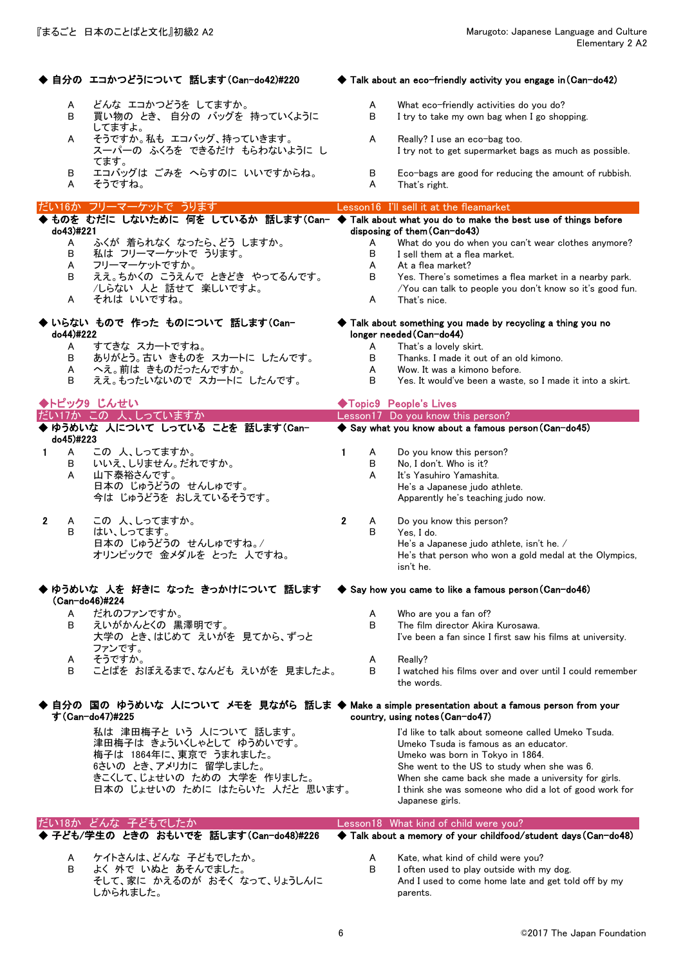|                   | ◆ 自分の エコかつどうについて 話します(Can-do42)#220                                                                                | $\blacklozenge$ Talk about an eco-friendly activity you engage in (Can-do42) |        |                                                                                                                    |
|-------------------|--------------------------------------------------------------------------------------------------------------------|------------------------------------------------------------------------------|--------|--------------------------------------------------------------------------------------------------------------------|
| A<br>В            | どんな エコかつどうを してますか。<br>買い物の とき、自分の バッグを 持っていくように<br>してますよ。                                                          |                                                                              | A<br>B | What eco-friendly activities do you do?<br>I try to take my own bag when I go shopping.                            |
| A                 | そうですか。私も エコバッグ、持っていきます。<br>スーパーの ふくろを できるだけ もらわないように し<br>てます。                                                     |                                                                              | A      | Really? I use an eco-bag too.<br>I try not to get supermarket bags as much as possible.                            |
| B<br>A            | エコバッグは ごみを へらすのに いいですからね。<br>そうですね。                                                                                |                                                                              | В<br>A | Eco-bags are good for reducing the amount of rubbish.<br>That's right.                                             |
|                   | だい16か フリーマーケットで うります                                                                                               |                                                                              |        | Lesson16 I'll sell it at the fleamarket                                                                            |
|                   | ◆ ものを むだに しないために 何を しているか 話します(Can- ◆ Talk about what you do to make the best use of things before                 |                                                                              |        |                                                                                                                    |
| do43)#221<br>A    | ふくが 着られなく なったら、どう しますか。                                                                                            |                                                                              | A      | disposing of them (Can-do43)<br>What do you do when you can't wear clothes anymore?                                |
| В                 | 私は フリーマーケットで うります。                                                                                                 |                                                                              | В      | I sell them at a flea market.                                                                                      |
| A                 | フリーマーケットですか。                                                                                                       |                                                                              | A      | At a flea market?                                                                                                  |
| В                 | ええ。ちかくの こうえんで ときどき やってるんです。<br>/しらない 人と 話せて 楽しいですよ。                                                                |                                                                              | B      | Yes. There's sometimes a flea market in a nearby park.<br>/You can talk to people you don't know so it's good fun. |
| A                 | それは いいですね。                                                                                                         |                                                                              | A      | That's nice.                                                                                                       |
| do44)#222         | ◆ いらない もので 作った ものについて 話します(Can-                                                                                    |                                                                              |        | $\blacklozenge$ Talk about something you made by recycling a thing you no<br>longer needed (Can-do44)              |
| A<br>В            | すてきな スカートですね。<br>ありがとう。古い きものを スカートに したんです。                                                                        |                                                                              | A<br>B | That's a lovely skirt.<br>Thanks. I made it out of an old kimono.                                                  |
| A                 | へえ。前は きものだったんですか。                                                                                                  |                                                                              | A      | Wow. It was a kimono before.                                                                                       |
| в                 | ええ。もったいないので スカートに したんです。                                                                                           |                                                                              | B      | Yes. It would've been a waste, so I made it into a skirt.                                                          |
|                   | ◆トピック9 じんせい                                                                                                        |                                                                              |        | ◆Topic9 People's Lives                                                                                             |
|                   | だい17か この 人、しっていますか                                                                                                 |                                                                              |        | Lesson17 Do you know this person?                                                                                  |
| do45)#223         | ◆ ゆうめいな 人について しっている ことを 話します(Can-                                                                                  |                                                                              |        | Say what you know about a famous person (Can-do45)                                                                 |
| $\mathbf{1}$<br>A | この人、しってますか。                                                                                                        | 1                                                                            | A      | Do you know this person?                                                                                           |
| в                 | いいえ、しりません。だれですか。                                                                                                   |                                                                              | В      | No, I don't. Who is it?                                                                                            |
| A                 | 山下泰裕さんです。                                                                                                          |                                                                              | A      | It's Yasuhiro Yamashita.                                                                                           |
|                   | 日本の じゅうどうの せんしゅです。<br>今は じゅうどうを おしえているそうです。                                                                        |                                                                              |        | He's a Japanese judo athlete.<br>Apparently he's teaching judo now.                                                |
| $\mathbf{2}$<br>A | この 人、しってますか。                                                                                                       | $\mathbf{2}$                                                                 | A      | Do you know this person?                                                                                           |
| В                 | はい、しってます。                                                                                                          |                                                                              | B      | Yes, I do.                                                                                                         |
|                   | 日本の じゅうどうの せんしゅですね。/<br>オリンピックで 金メダルを とった 人ですね。                                                                    |                                                                              |        | He's a Japanese judo athlete, isn't he. /<br>He's that person who won a gold medal at the Olympics,<br>isn't he.   |
|                   | ゆうめいな 人を 好きに なった きっかけについて 話します<br>(Can-do46)#224                                                                   |                                                                              |        | Say how you came to like a famous person (Can-do46)                                                                |
| A                 | だれのファンですか。                                                                                                         |                                                                              | A      | Who are you a fan of?                                                                                              |
| В                 | えいがかんとくの 黒澤明です。<br>大学の とき、はじめて えいがを 見てから、ずっと                                                                       |                                                                              | B      | The film director Akira Kurosawa.<br>I've been a fan since I first saw his films at university.                    |
|                   | ファンです。                                                                                                             |                                                                              |        |                                                                                                                    |
| A                 | そうですか。                                                                                                             |                                                                              | A      | Really?                                                                                                            |
| В                 | ことばを おぼえるまで、なんども えいがを 見ましたよ。                                                                                       |                                                                              | B      | I watched his films over and over until I could remember<br>the words.                                             |
|                   | ◆ 自分の 国の ゆうめいな 人について メモを 見ながら 話しま ◆ Make a simple presentation about a famous person from your<br>す (Can-do47)#225 |                                                                              |        | country, using notes (Can-do47)                                                                                    |
|                   | 私は 津田梅子と いう 人について 話します。                                                                                            |                                                                              |        | I'd like to talk about someone called Umeko Tsuda.                                                                 |
|                   | 津田梅子は きょういくしゃとして ゆうめいです。<br>梅子は 1864年に、東京で うまれました。                                                                 |                                                                              |        | Umeko Tsuda is famous as an educator.<br>Umeko was born in Tokyo in 1864.                                          |
|                   | 6さいの とき、アメリカに 留学しました。                                                                                              |                                                                              |        | She went to the US to study when she was 6.                                                                        |
|                   | きこくして、じょせいの ための 大学を 作りました。                                                                                         |                                                                              |        | When she came back she made a university for girls.                                                                |
|                   | 日本の じょせいの ために はたらいた 人だと 思います。                                                                                      |                                                                              |        | I think she was someone who did a lot of good work for<br>Japanese girls.                                          |
|                   | だい18か どんな 子どもでしたか                                                                                                  |                                                                              |        | Lesson18 What kind of child were you?                                                                              |
|                   | 子ども/学生の ときの おもいでを 話します(Can-do48)#226                                                                               |                                                                              |        | ◆ Talk about a memory of your childfood/student days (Can-do48)                                                    |
| A                 | ケイトさんは、どんな 子どもでしたか。                                                                                                |                                                                              | A      | Kate, what kind of child were you?                                                                                 |
| В                 | よく 外で いぬと あそんでました。                                                                                                 |                                                                              | В      | I often used to play outside with my dog.                                                                          |
|                   | そして、家に かえるのが おそく なって、りょうしんに                                                                                        |                                                                              |        | And I used to come home late and get told off by my                                                                |
|                   | しかられました。                                                                                                           |                                                                              |        | parents.                                                                                                           |